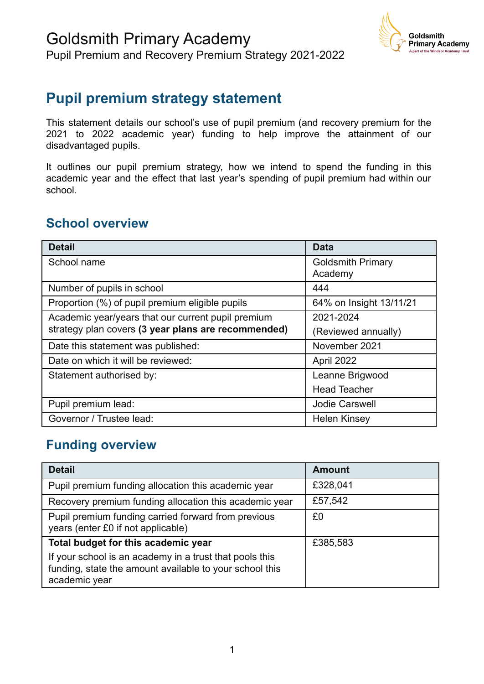

### **Pupil premium strategy statement**

This statement details our school's use of pupil premium (and recovery premium for the 2021 to 2022 academic year) funding to help improve the attainment of our disadvantaged pupils.

It outlines our pupil premium strategy, how we intend to spend the funding in this academic year and the effect that last year's spending of pupil premium had within our school.

#### **School overview**

| <b>Detail</b>                                       | <b>Data</b>              |
|-----------------------------------------------------|--------------------------|
| School name                                         | <b>Goldsmith Primary</b> |
|                                                     | Academy                  |
| Number of pupils in school                          | 444                      |
| Proportion (%) of pupil premium eligible pupils     | 64% on Insight 13/11/21  |
| Academic year/years that our current pupil premium  | 2021-2024                |
| strategy plan covers (3 year plans are recommended) | (Reviewed annually)      |
| Date this statement was published:                  | November 2021            |
| Date on which it will be reviewed:                  | April 2022               |
| Statement authorised by:                            | Leanne Brigwood          |
|                                                     | <b>Head Teacher</b>      |
| Pupil premium lead:                                 | <b>Jodie Carswell</b>    |
| Governor / Trustee lead:                            | <b>Helen Kinsey</b>      |

#### **Funding overview**

| <b>Detail</b>                                                                                                                       | <b>Amount</b> |
|-------------------------------------------------------------------------------------------------------------------------------------|---------------|
| Pupil premium funding allocation this academic year                                                                                 | £328,041      |
| Recovery premium funding allocation this academic year                                                                              | £57,542       |
| Pupil premium funding carried forward from previous<br>years (enter £0 if not applicable)                                           | £0            |
| Total budget for this academic year                                                                                                 | £385,583      |
| If your school is an academy in a trust that pools this<br>funding, state the amount available to your school this<br>academic year |               |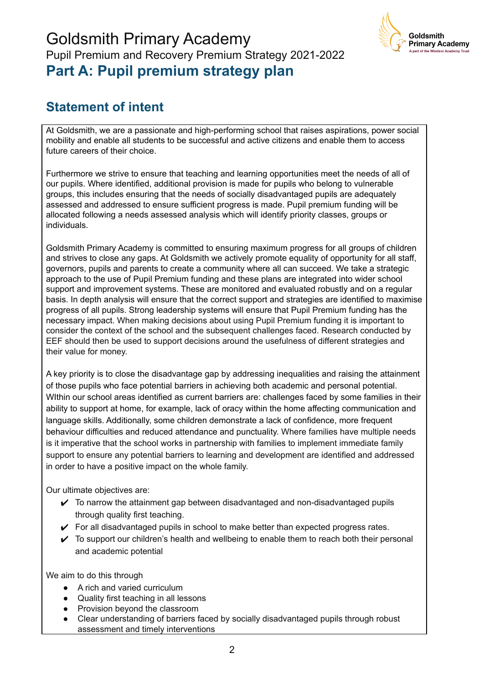### Goldsmith Primary Academy Pupil Premium and Recovery Premium Strategy 2021-2022 **Part A: Pupil premium strategy plan**



### **Statement of intent**

At Goldsmith, we are a passionate and high-performing school that raises aspirations, power social mobility and enable all students to be successful and active citizens and enable them to access future careers of their choice.

Furthermore we strive to ensure that teaching and learning opportunities meet the needs of all of our pupils. Where identified, additional provision is made for pupils who belong to vulnerable groups, this includes ensuring that the needs of socially disadvantaged pupils are adequately assessed and addressed to ensure sufficient progress is made. Pupil premium funding will be allocated following a needs assessed analysis which will identify priority classes, groups or individuals.

Goldsmith Primary Academy is committed to ensuring maximum progress for all groups of children and strives to close any gaps. At Goldsmith we actively promote equality of opportunity for all staff, governors, pupils and parents to create a community where all can succeed. We take a strategic approach to the use of Pupil Premium funding and these plans are integrated into wider school support and improvement systems. These are monitored and evaluated robustly and on a regular basis. In depth analysis will ensure that the correct support and strategies are identified to maximise progress of all pupils. Strong leadership systems will ensure that Pupil Premium funding has the necessary impact. When making decisions about using Pupil Premium funding it is important to consider the context of the school and the subsequent challenges faced. Research conducted by EEF should then be used to support decisions around the usefulness of different strategies and their value for money.

A key priority is to close the disadvantage gap by addressing inequalities and raising the attainment of those pupils who face potential barriers in achieving both academic and personal potential. WIthin our school areas identified as current barriers are: challenges faced by some families in their ability to support at home, for example, lack of oracy within the home affecting communication and language skills. Additionally, some children demonstrate a lack of confidence, more frequent behaviour difficulties and reduced attendance and punctuality. Where families have multiple needs is it imperative that the school works in partnership with families to implement immediate family support to ensure any potential barriers to learning and development are identified and addressed in order to have a positive impact on the whole family.

Our ultimate objectives are:

- $\triangleright$  To narrow the attainment gap between disadvantaged and non-disadvantaged pupils through quality first teaching.
- $\checkmark$  For all disadvantaged pupils in school to make better than expected progress rates.
- $\checkmark$  To support our children's health and wellbeing to enable them to reach both their personal and academic potential

We aim to do this through

- A rich and varied curriculum
- Quality first teaching in all lessons
- Provision beyond the classroom
- Clear understanding of barriers faced by socially disadvantaged pupils through robust assessment and timely interventions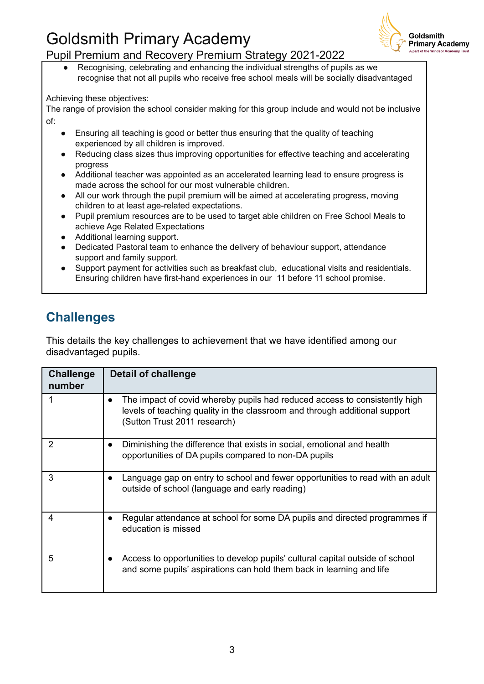

#### Pupil Premium and Recovery Premium Strategy 2021-2022

Recognising, celebrating and enhancing the individual strengths of pupils as we recognise that not all pupils who receive free school meals will be socially disadvantaged

Achieving these objectives:

The range of provision the school consider making for this group include and would not be inclusive of:

- Ensuring all teaching is good or better thus ensuring that the quality of teaching experienced by all children is improved.
- Reducing class sizes thus improving opportunities for effective teaching and accelerating progress
- Additional teacher was appointed as an accelerated learning lead to ensure progress is made across the school for our most vulnerable children.
- All our work through the pupil premium will be aimed at accelerating progress, moving children to at least age-related expectations.
- Pupil premium resources are to be used to target able children on Free School Meals to achieve Age Related Expectations
- Additional learning support.
- Dedicated Pastoral team to enhance the delivery of behaviour support, attendance support and family support.
- Support payment for activities such as breakfast club, educational visits and residentials. Ensuring children have first-hand experiences in our 11 before 11 school promise.

### **Challenges**

This details the key challenges to achievement that we have identified among our disadvantaged pupils.

| <b>Challenge</b><br>number | Detail of challenge                                                                                                                                                                      |
|----------------------------|------------------------------------------------------------------------------------------------------------------------------------------------------------------------------------------|
|                            | The impact of covid whereby pupils had reduced access to consistently high<br>levels of teaching quality in the classroom and through additional support<br>(Sutton Trust 2011 research) |
| 2                          | Diminishing the difference that exists in social, emotional and health<br>opportunities of DA pupils compared to non-DA pupils                                                           |
| 3                          | Language gap on entry to school and fewer opportunities to read with an adult<br>outside of school (language and early reading)                                                          |
| 4                          | Regular attendance at school for some DA pupils and directed programmes if<br>education is missed                                                                                        |
| 5                          | Access to opportunities to develop pupils' cultural capital outside of school<br>and some pupils' aspirations can hold them back in learning and life                                    |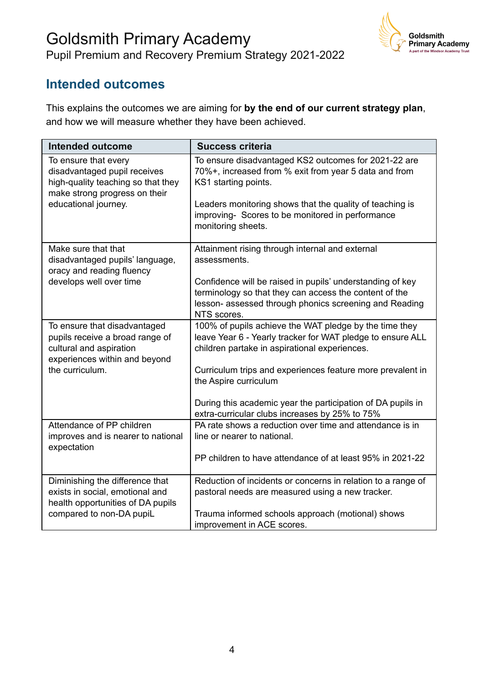

#### **Intended outcomes**

This explains the outcomes we are aiming for **by the end of our current strategy plan**, and how we will measure whether they have been achieved.

| <b>Intended outcome</b>                                                                                                                             | <b>Success criteria</b>                                                                                                                                                                                                                                                                                                                                                       |
|-----------------------------------------------------------------------------------------------------------------------------------------------------|-------------------------------------------------------------------------------------------------------------------------------------------------------------------------------------------------------------------------------------------------------------------------------------------------------------------------------------------------------------------------------|
| To ensure that every<br>disadvantaged pupil receives<br>high-quality teaching so that they<br>make strong progress on their<br>educational journey. | To ensure disadvantaged KS2 outcomes for 2021-22 are<br>70%+, increased from % exit from year 5 data and from<br>KS1 starting points.<br>Leaders monitoring shows that the quality of teaching is<br>improving- Scores to be monitored in performance<br>monitoring sheets.                                                                                                   |
| Make sure that that<br>disadvantaged pupils' language,<br>oracy and reading fluency<br>develops well over time                                      | Attainment rising through internal and external<br>assessments.<br>Confidence will be raised in pupils' understanding of key<br>terminology so that they can access the content of the<br>lesson- assessed through phonics screening and Reading<br>NTS scores.                                                                                                               |
| To ensure that disadvantaged<br>pupils receive a broad range of<br>cultural and aspiration<br>experiences within and beyond<br>the curriculum.      | 100% of pupils achieve the WAT pledge by the time they<br>leave Year 6 - Yearly tracker for WAT pledge to ensure ALL<br>children partake in aspirational experiences.<br>Curriculum trips and experiences feature more prevalent in<br>the Aspire curriculum<br>During this academic year the participation of DA pupils in<br>extra-curricular clubs increases by 25% to 75% |
| Attendance of PP children<br>improves and is nearer to national<br>expectation                                                                      | PA rate shows a reduction over time and attendance is in<br>line or nearer to national.<br>PP children to have attendance of at least 95% in 2021-22                                                                                                                                                                                                                          |
| Diminishing the difference that<br>exists in social, emotional and<br>health opportunities of DA pupils<br>compared to non-DA pupiL                 | Reduction of incidents or concerns in relation to a range of<br>pastoral needs are measured using a new tracker.<br>Trauma informed schools approach (motional) shows<br>improvement in ACE scores.                                                                                                                                                                           |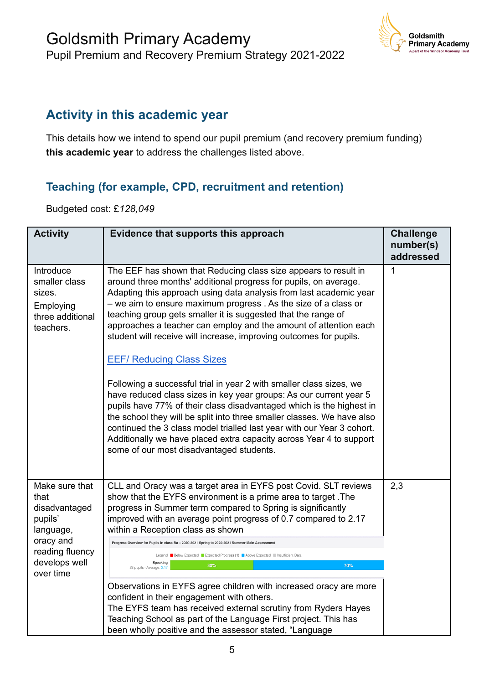

### **Activity in this academic year**

This details how we intend to spend our pupil premium (and recovery premium funding) **this academic year** to address the challenges listed above.

#### **Teaching (for example, CPD, recruitment and retention)**

Budgeted cost: £*128,049*

| <b>Activity</b>                                                                                                               | Evidence that supports this approach                                                                                                                                                                                                                                                                                                                                                                                                                                                                                                                                                                                                                                                                                                                                                                                                                                                                                                                                                                                   | <b>Challenge</b><br>number(s)<br>addressed |
|-------------------------------------------------------------------------------------------------------------------------------|------------------------------------------------------------------------------------------------------------------------------------------------------------------------------------------------------------------------------------------------------------------------------------------------------------------------------------------------------------------------------------------------------------------------------------------------------------------------------------------------------------------------------------------------------------------------------------------------------------------------------------------------------------------------------------------------------------------------------------------------------------------------------------------------------------------------------------------------------------------------------------------------------------------------------------------------------------------------------------------------------------------------|--------------------------------------------|
| Introduce<br>smaller class<br>sizes.<br>Employing<br>three additional<br>teachers.                                            | The EEF has shown that Reducing class size appears to result in<br>around three months' additional progress for pupils, on average.<br>Adapting this approach using data analysis from last academic year<br>- we aim to ensure maximum progress. As the size of a class or<br>teaching group gets smaller it is suggested that the range of<br>approaches a teacher can employ and the amount of attention each<br>student will receive will increase, improving outcomes for pupils.<br><b>EEF/ Reducing Class Sizes</b><br>Following a successful trial in year 2 with smaller class sizes, we<br>have reduced class sizes in key year groups: As our current year 5<br>pupils have 77% of their class disadvantaged which is the highest in<br>the school they will be split into three smaller classes. We have also<br>continued the 3 class model trialled last year with our Year 3 cohort.<br>Additionally we have placed extra capacity across Year 4 to support<br>some of our most disadvantaged students. | 1                                          |
| Make sure that<br>that<br>disadvantaged<br>pupils'<br>language,<br>oracy and<br>reading fluency<br>develops well<br>over time | CLL and Oracy was a target area in EYFS post Covid. SLT reviews<br>show that the EYFS environment is a prime area to target. The<br>progress in Summer term compared to Spring is significantly<br>improved with an average point progress of 0.7 compared to 2.17<br>within a Reception class as shown<br>Progress Overview for Pupils in class Ra - 2020-2021 Spring to 2020-2021 Summer Main Assessmen<br>Legend Below Expected Expected Progress (1) Above Expected Insufficient Data<br>Speaking<br>30%<br>70%<br>23 pupils · Average: 2.17<br>Observations in EYFS agree children with increased oracy are more<br>confident in their engagement with others.<br>The EYFS team has received external scrutiny from Ryders Hayes<br>Teaching School as part of the Language First project. This has<br>been wholly positive and the assessor stated, "Language                                                                                                                                                    | 2,3                                        |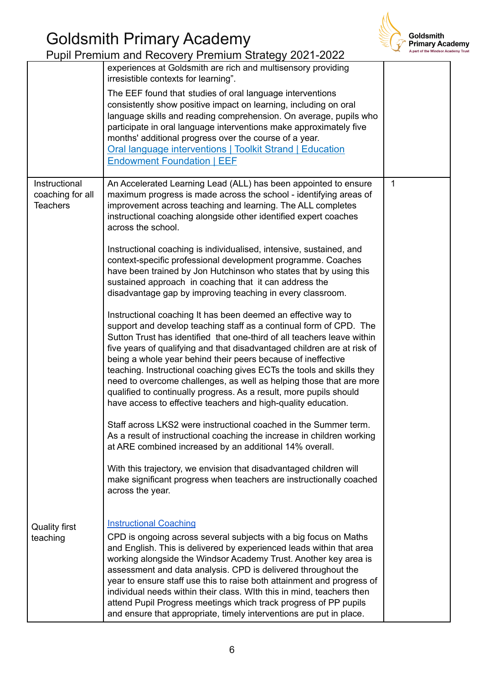

|                                                      | Pupil Premium and Recovery Premium Strategy 2021-2022                                                                                                                                                                                                                                                                                                                                                                                                                                                                                                                                                                                            |              | A part of the Windsor Ac |
|------------------------------------------------------|--------------------------------------------------------------------------------------------------------------------------------------------------------------------------------------------------------------------------------------------------------------------------------------------------------------------------------------------------------------------------------------------------------------------------------------------------------------------------------------------------------------------------------------------------------------------------------------------------------------------------------------------------|--------------|--------------------------|
|                                                      | experiences at Goldsmith are rich and multisensory providing<br>irresistible contexts for learning".                                                                                                                                                                                                                                                                                                                                                                                                                                                                                                                                             |              |                          |
|                                                      | The EEF found that studies of oral language interventions<br>consistently show positive impact on learning, including on oral<br>language skills and reading comprehension. On average, pupils who<br>participate in oral language interventions make approximately five<br>months' additional progress over the course of a year.<br>Oral language interventions   Toolkit Strand   Education<br><b>Endowment Foundation   EEF</b>                                                                                                                                                                                                              |              |                          |
| Instructional<br>coaching for all<br><b>Teachers</b> | An Accelerated Learning Lead (ALL) has been appointed to ensure<br>maximum progress is made across the school - identifying areas of<br>improvement across teaching and learning. The ALL completes<br>instructional coaching alongside other identified expert coaches<br>across the school.                                                                                                                                                                                                                                                                                                                                                    | $\mathbf{1}$ |                          |
|                                                      | Instructional coaching is individualised, intensive, sustained, and<br>context-specific professional development programme. Coaches<br>have been trained by Jon Hutchinson who states that by using this<br>sustained approach in coaching that it can address the<br>disadvantage gap by improving teaching in every classroom.                                                                                                                                                                                                                                                                                                                 |              |                          |
|                                                      | Instructional coaching It has been deemed an effective way to<br>support and develop teaching staff as a continual form of CPD. The<br>Sutton Trust has identified that one-third of all teachers leave within<br>five years of qualifying and that disadvantaged children are at risk of<br>being a whole year behind their peers because of ineffective<br>teaching. Instructional coaching gives ECTs the tools and skills they<br>need to overcome challenges, as well as helping those that are more<br>qualified to continually progress. As a result, more pupils should<br>have access to effective teachers and high-quality education. |              |                          |
|                                                      | Staff across LKS2 were instructional coached in the Summer term.<br>As a result of instructional coaching the increase in children working<br>at ARE combined increased by an additional 14% overall.                                                                                                                                                                                                                                                                                                                                                                                                                                            |              |                          |
|                                                      | With this trajectory, we envision that disadvantaged children will<br>make significant progress when teachers are instructionally coached<br>across the year.                                                                                                                                                                                                                                                                                                                                                                                                                                                                                    |              |                          |
| <b>Quality first</b><br>teaching                     | <b>Instructional Coaching</b><br>CPD is ongoing across several subjects with a big focus on Maths<br>and English. This is delivered by experienced leads within that area<br>working alongside the Windsor Academy Trust. Another key area is<br>assessment and data analysis. CPD is delivered throughout the<br>year to ensure staff use this to raise both attainment and progress of<br>individual needs within their class. With this in mind, teachers then<br>attend Pupil Progress meetings which track progress of PP pupils<br>and ensure that appropriate, timely interventions are put in place.                                     |              |                          |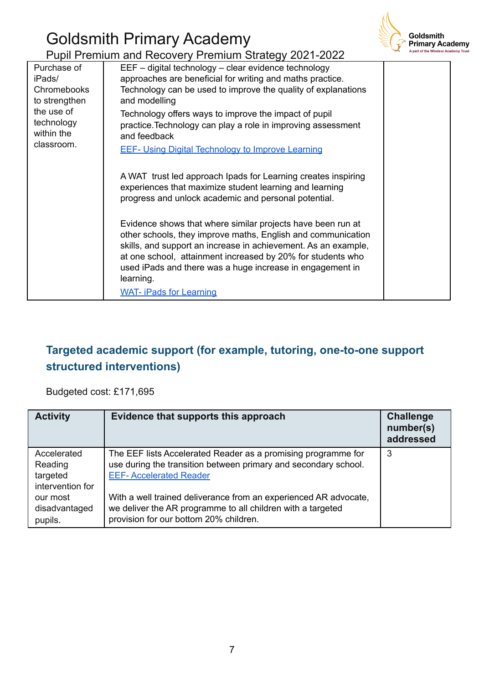

|                                                                                                                      | Pupil Premium and Recovery Premium Strategy 2021-2022                                                                                                                                                                                                                                                                                                                                                    | A part of the Windsor Acadı |
|----------------------------------------------------------------------------------------------------------------------|----------------------------------------------------------------------------------------------------------------------------------------------------------------------------------------------------------------------------------------------------------------------------------------------------------------------------------------------------------------------------------------------------------|-----------------------------|
| Purchase of<br>iPads/<br><b>Chromebooks</b><br>to strengthen<br>the use of<br>technology<br>within the<br>classroom. | EEF - digital technology - clear evidence technology<br>approaches are beneficial for writing and maths practice.<br>Technology can be used to improve the quality of explanations<br>and modelling<br>Technology offers ways to improve the impact of pupil<br>practice. Technology can play a role in improving assessment<br>and feedback<br><b>EEF- Using Digital Technology to Improve Learning</b> |                             |
|                                                                                                                      | A WAT trust led approach Ipads for Learning creates inspiring<br>experiences that maximize student learning and learning<br>progress and unlock academic and personal potential.                                                                                                                                                                                                                         |                             |
|                                                                                                                      | Evidence shows that where similar projects have been run at<br>other schools, they improve maths, English and communication<br>skills, and support an increase in achievement. As an example,<br>at one school, attainment increased by 20% for students who<br>used iPads and there was a huge increase in engagement in<br>learning.<br><b>WAT- iPads for Learning</b>                                 |                             |

### **Targeted academic support (for example, tutoring, one-to-one support structured interventions)**

Budgeted cost: £171,695

| <b>Activity</b>                                        | Evidence that supports this approach                                                                                                                                      | <b>Challenge</b><br>number(s)<br>addressed |
|--------------------------------------------------------|---------------------------------------------------------------------------------------------------------------------------------------------------------------------------|--------------------------------------------|
| Accelerated<br>Reading<br>targeted<br>intervention for | The EEF lists Accelerated Reader as a promising programme for<br>use during the transition between primary and secondary school.<br><b>EEF-Accelerated Reader</b>         | -3                                         |
| our most<br>disadvantaged<br>pupils.                   | With a well trained deliverance from an experienced AR advocate,<br>we deliver the AR programme to all children with a targeted<br>provision for our bottom 20% children. |                                            |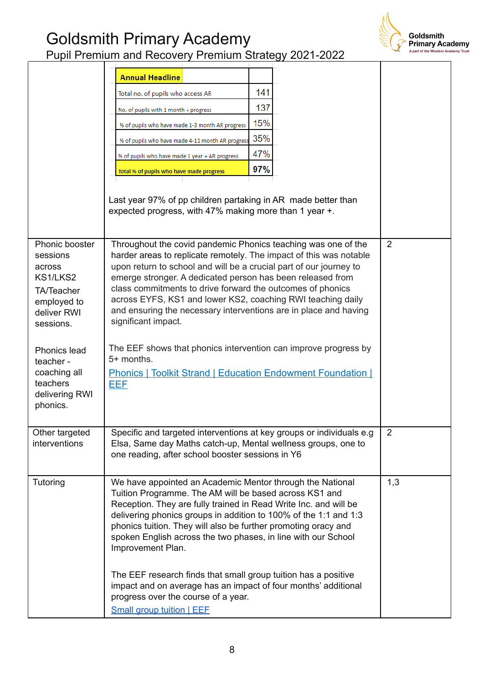

|                                                                                                                  | <b>Annual Headline</b>                                                                                                                                                                                                                                                                                                                                                                                                                                                                          |     |                |
|------------------------------------------------------------------------------------------------------------------|-------------------------------------------------------------------------------------------------------------------------------------------------------------------------------------------------------------------------------------------------------------------------------------------------------------------------------------------------------------------------------------------------------------------------------------------------------------------------------------------------|-----|----------------|
|                                                                                                                  | Total no. of pupils who access AR                                                                                                                                                                                                                                                                                                                                                                                                                                                               | 141 |                |
|                                                                                                                  | No. of pupils with 1 month + progress                                                                                                                                                                                                                                                                                                                                                                                                                                                           | 137 |                |
|                                                                                                                  | % of pupils who have made 1-3 month AR progress                                                                                                                                                                                                                                                                                                                                                                                                                                                 | 15% |                |
|                                                                                                                  | % of pupils who have made 4-11 month AR progress                                                                                                                                                                                                                                                                                                                                                                                                                                                | 35% |                |
|                                                                                                                  | % of pupils who have made 1 year + AR progress                                                                                                                                                                                                                                                                                                                                                                                                                                                  | 47% |                |
|                                                                                                                  | Total % of pupils who have made progress                                                                                                                                                                                                                                                                                                                                                                                                                                                        | 97% |                |
|                                                                                                                  | Last year 97% of pp children partaking in AR made better than<br>expected progress, with 47% making more than 1 year +.                                                                                                                                                                                                                                                                                                                                                                         |     |                |
| Phonic booster<br>sessions<br>across<br>KS1/LKS2<br><b>TA/Teacher</b><br>employed to<br>deliver RWI<br>sessions. | Throughout the covid pandemic Phonics teaching was one of the<br>harder areas to replicate remotely. The impact of this was notable<br>upon return to school and will be a crucial part of our journey to<br>emerge stronger. A dedicated person has been released from<br>class commitments to drive forward the outcomes of phonics<br>across EYFS, KS1 and lower KS2, coaching RWI teaching daily<br>and ensuring the necessary interventions are in place and having<br>significant impact. |     | $\overline{2}$ |
| <b>Phonics lead</b><br>teacher -<br>coaching all<br>teachers<br>delivering RWI<br>phonics.                       | The EEF shows that phonics intervention can improve progress by<br>5+ months.<br><b>Phonics   Toolkit Strand   Education Endowment Foundation  </b><br><b>EEF</b>                                                                                                                                                                                                                                                                                                                               |     |                |
| Other targeted<br>interventions                                                                                  | Specific and targeted interventions at key groups or individuals e.g.<br>Elsa, Same day Maths catch-up, Mental wellness groups, one to<br>one reading, after school booster sessions in Y6                                                                                                                                                                                                                                                                                                      |     | $\overline{2}$ |
| Tutoring                                                                                                         | We have appointed an Academic Mentor through the National<br>Tuition Programme. The AM will be based across KS1 and<br>Reception. They are fully trained in Read Write Inc. and will be<br>delivering phonics groups in addition to 100% of the 1:1 and 1:3<br>phonics tuition. They will also be further promoting oracy and<br>spoken English across the two phases, in line with our School<br>Improvement Plan.                                                                             |     | 1,3            |
|                                                                                                                  | The EEF research finds that small group tuition has a positive<br>impact and on average has an impact of four months' additional<br>progress over the course of a year.<br><b>Small group tuition   EEE</b>                                                                                                                                                                                                                                                                                     |     |                |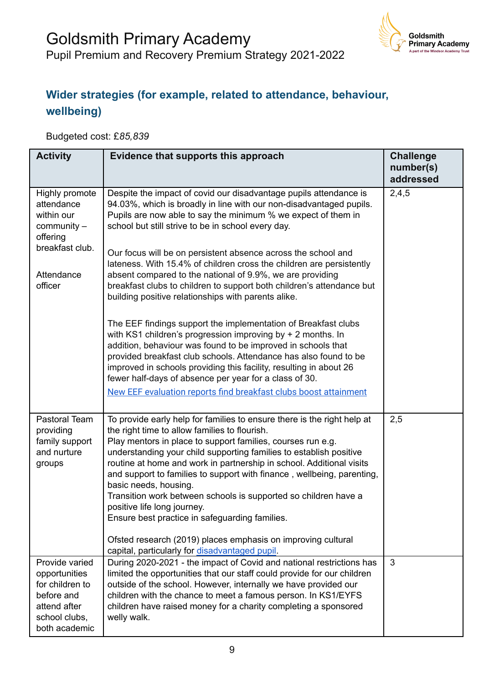

#### **Wider strategies (for example, related to attendance, behaviour, wellbeing)**

Budgeted cost: £*85,839*

| <b>Activity</b>                                                                                                     | Evidence that supports this approach                                                                                                                                                                                                                                                                                                                                                                                                                                                                                                                                                                                                                                                                                                                                                                                                                                                                                                                                                                                                                                             | <b>Challenge</b><br>number(s)<br>addressed |
|---------------------------------------------------------------------------------------------------------------------|----------------------------------------------------------------------------------------------------------------------------------------------------------------------------------------------------------------------------------------------------------------------------------------------------------------------------------------------------------------------------------------------------------------------------------------------------------------------------------------------------------------------------------------------------------------------------------------------------------------------------------------------------------------------------------------------------------------------------------------------------------------------------------------------------------------------------------------------------------------------------------------------------------------------------------------------------------------------------------------------------------------------------------------------------------------------------------|--------------------------------------------|
| Highly promote<br>attendance<br>within our<br>$community -$<br>offering<br>breakfast club.<br>Attendance<br>officer | Despite the impact of covid our disadvantage pupils attendance is<br>94.03%, which is broadly in line with our non-disadvantaged pupils.<br>Pupils are now able to say the minimum % we expect of them in<br>school but still strive to be in school every day.<br>Our focus will be on persistent absence across the school and<br>lateness. With 15.4% of children cross the children are persistently<br>absent compared to the national of 9.9%, we are providing<br>breakfast clubs to children to support both children's attendance but<br>building positive relationships with parents alike.<br>The EEF findings support the implementation of Breakfast clubs<br>with KS1 children's progression improving by $+$ 2 months. In<br>addition, behaviour was found to be improved in schools that<br>provided breakfast club schools. Attendance has also found to be<br>improved in schools providing this facility, resulting in about 26<br>fewer half-days of absence per year for a class of 30.<br>New EEF evaluation reports find breakfast clubs boost attainment | 2,4,5                                      |
| Pastoral Team<br>providing<br>family support<br>and nurture<br>groups                                               | To provide early help for families to ensure there is the right help at<br>the right time to allow families to flourish.<br>Play mentors in place to support families, courses run e.g.<br>understanding your child supporting families to establish positive<br>routine at home and work in partnership in school. Additional visits<br>and support to families to support with finance, wellbeing, parenting,<br>basic needs, housing.<br>Transition work between schools is supported so children have a<br>positive life long journey.<br>Ensure best practice in safeguarding families.<br>Ofsted research (2019) places emphasis on improving cultural<br>capital, particularly for disadvantaged pupil.                                                                                                                                                                                                                                                                                                                                                                   | 2,5                                        |
| Provide varied<br>opportunities<br>for children to<br>before and<br>attend after<br>school clubs,<br>both academic  | During 2020-2021 - the impact of Covid and national restrictions has<br>limited the opportunities that our staff could provide for our children<br>outside of the school. However, internally we have provided our<br>children with the chance to meet a famous person. In KS1/EYFS<br>children have raised money for a charity completing a sponsored<br>welly walk.                                                                                                                                                                                                                                                                                                                                                                                                                                                                                                                                                                                                                                                                                                            | 3                                          |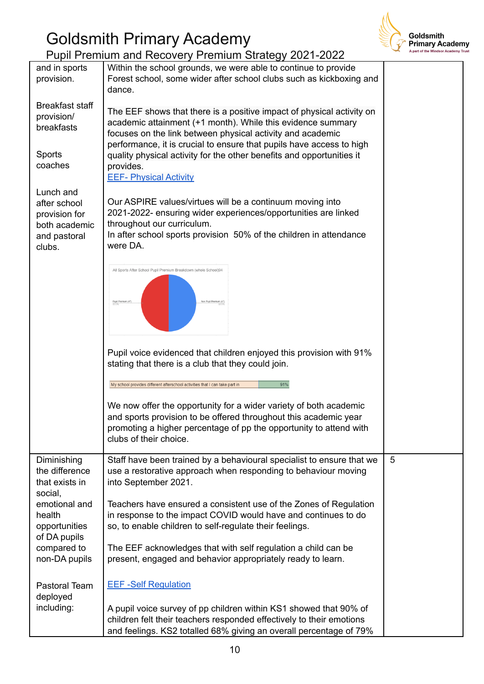

Pupil Premium and Recovery Premium Strategy 2021-2022 Within the school grounds, we were able to continue to provide and in sports Forest school, some wider after school clubs such as kickboxing and provision. dance. Breakfast staff The EEF shows that there is a positive impact of physical activity on provision/ academic attainment (+1 month). While this evidence summary breakfasts focuses on the link between physical activity and academic performance, it is crucial to ensure that pupils have access to high Sports quality physical activity for the other benefits and opportunities it coaches provides. EEF- [Physical](https://educationendowmentfoundation.org.uk/education-evidence/teaching-learning-toolkit/physical-activity) Activity Lunch and Our ASPIRE values/virtues will be a continuum moving into after school 2021-2022- ensuring wider experiences/opportunities are linked provision for throughout our curriculum. both academic In after school sports provision 50% of the children in attendance and pastoral were DA. clubs. All Sports After School Pupil Premium Breakdown (whole School)94 n Pupil Premium (47) Pupil voice evidenced that children enjoyed this provision with 91% stating that there is a club that they could join. My school provides different afterschool activities that I can take part in  $91%$ We now offer the opportunity for a wider variety of both academic and sports provision to be offered throughout this academic year promoting a higher percentage of pp the opportunity to attend with clubs of their choice. Diminishing Staff have been trained by a behavioural specialist to ensure that we 5 the difference use a restorative approach when responding to behaviour moving that exists in into September 2021. social, emotional and Teachers have ensured a consistent use of the Zones of Regulation health in response to the impact COVID would have and continues to do so, to enable children to self-regulate their feelings. opportunities of DA pupils compared to The EEF acknowledges that with self regulation a child can be non-DA pupils present, engaged and behavior appropriately ready to learn. EEF -Self [Regulation](https://educationendowmentfoundation.org.uk/news/eef-blog-three-keys-to-unlocking-positive-learning-behaviours) Pastoral Team deployed including: A pupil voice survey of pp children within KS1 showed that 90% of children felt their teachers responded effectively to their emotions

and feelings. KS2 totalled 68% giving an overall percentage of 79%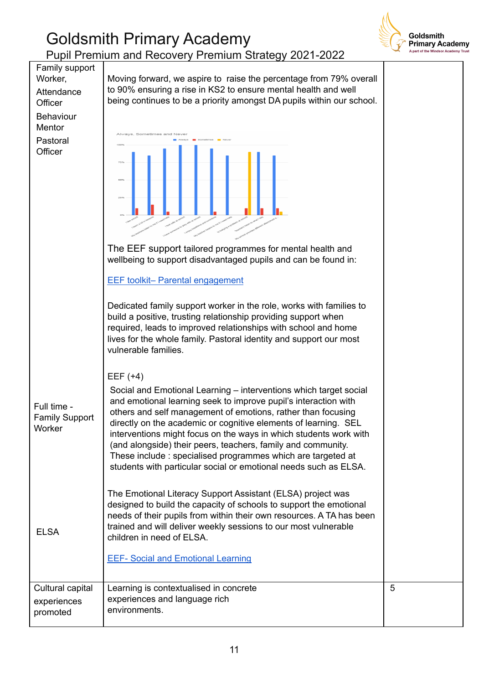

|                                                                                                         | Pupii Premium and Recovery Premium Strategy 2021-2022                                                                                                                                                                                                                                                                                                                                                                                                                                                                                                                                                                                                                                                   |   |
|---------------------------------------------------------------------------------------------------------|---------------------------------------------------------------------------------------------------------------------------------------------------------------------------------------------------------------------------------------------------------------------------------------------------------------------------------------------------------------------------------------------------------------------------------------------------------------------------------------------------------------------------------------------------------------------------------------------------------------------------------------------------------------------------------------------------------|---|
| Family support<br>Worker,<br>Attendance<br>Officer<br><b>Behaviour</b><br>Mentor<br>Pastoral<br>Officer | Moving forward, we aspire to raise the percentage from 79% overall<br>to 90% ensuring a rise in KS2 to ensure mental health and well<br>being continues to be a priority amongst DA pupils within our school.<br>26%<br>The EEF support tailored programmes for mental health and<br>wellbeing to support disadvantaged pupils and can be found in:<br><b>EEF toolkit- Parental engagement</b><br>Dedicated family support worker in the role, works with families to<br>build a positive, trusting relationship providing support when<br>required, leads to improved relationships with school and home<br>lives for the whole family. Pastoral identity and support our most<br>vulnerable families. |   |
| Full time -<br><b>Family Support</b><br>Worker                                                          | EEF $(+4)$<br>Social and Emotional Learning – interventions which target social<br>and emotional learning seek to improve pupil's interaction with<br>others and self management of emotions, rather than focusing<br>directly on the academic or cognitive elements of learning. SEL<br>interventions might focus on the ways in which students work with<br>(and alongside) their peers, teachers, family and community.<br>These include: specialised programmes which are targeted at<br>students with particular social or emotional needs such as ELSA.                                                                                                                                           |   |
| <b>ELSA</b>                                                                                             | The Emotional Literacy Support Assistant (ELSA) project was<br>designed to build the capacity of schools to support the emotional<br>needs of their pupils from within their own resources. A TA has been<br>trained and will deliver weekly sessions to our most vulnerable<br>children in need of ELSA.<br><b>EEF- Social and Emotional Learning</b>                                                                                                                                                                                                                                                                                                                                                  |   |
| Cultural capital<br>experiences<br>promoted                                                             | Learning is contextualised in concrete<br>experiences and language rich<br>environments.                                                                                                                                                                                                                                                                                                                                                                                                                                                                                                                                                                                                                | 5 |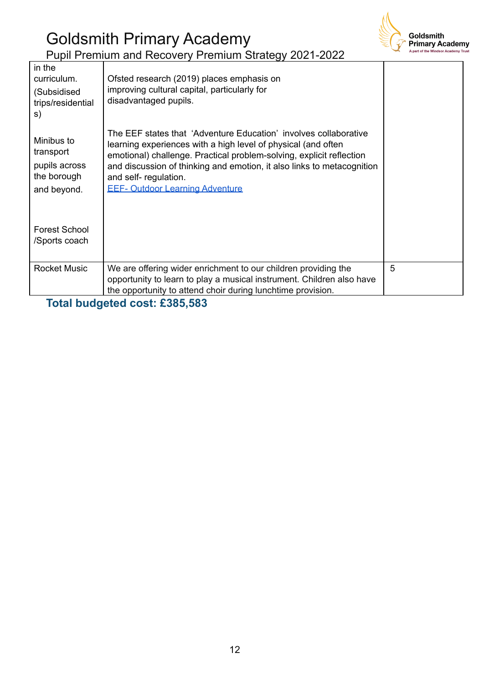

| in the<br>curriculum.<br>(Subsidised<br>trips/residential<br>s)        | Ofsted research (2019) places emphasis on<br>improving cultural capital, particularly for<br>disadvantaged pupils.                                                                                                                                                                                                                                     |   |
|------------------------------------------------------------------------|--------------------------------------------------------------------------------------------------------------------------------------------------------------------------------------------------------------------------------------------------------------------------------------------------------------------------------------------------------|---|
| Minibus to<br>transport<br>pupils across<br>the borough<br>and beyond. | The EEF states that 'Adventure Education' involves collaborative<br>learning experiences with a high level of physical (and often<br>emotional) challenge. Practical problem-solving, explicit reflection<br>and discussion of thinking and emotion, it also links to metacognition<br>and self- regulation.<br><b>EEF- Outdoor Learning Adventure</b> |   |
| <b>Forest School</b><br>/Sports coach                                  |                                                                                                                                                                                                                                                                                                                                                        |   |
| <b>Rocket Music</b>                                                    | We are offering wider enrichment to our children providing the<br>opportunity to learn to play a musical instrument. Children also have<br>the opportunity to attend choir during lunchtime provision.                                                                                                                                                 | 5 |

**Total budgeted cost: £385,583**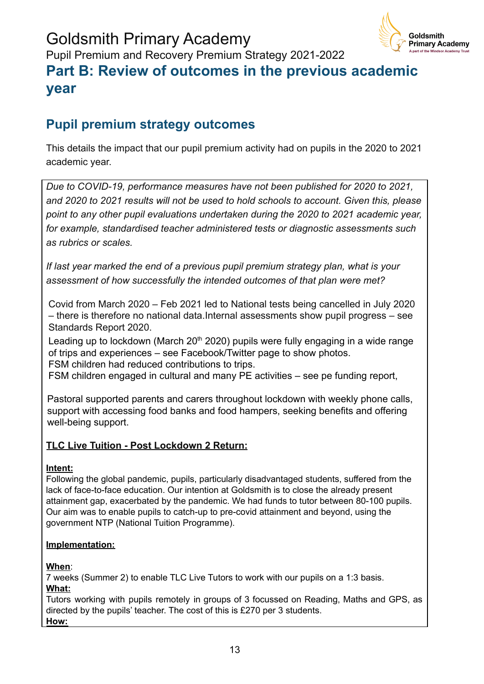

## **Part B: Review of outcomes in the previous academic year**

### **Pupil premium strategy outcomes**

This details the impact that our pupil premium activity had on pupils in the 2020 to 2021 academic year.

*Due to COVID-19, performance measures have not been published for 2020 to 2021, and 2020 to 2021 results will not be used to hold schools to account. Given this, please point to any other pupil evaluations undertaken during the 2020 to 2021 academic year, for example, standardised teacher administered tests or diagnostic assessments such as rubrics or scales.*

*If last year marked the end of a previous pupil premium strategy plan, what is your assessment of how successfully the intended outcomes of that plan were met?*

Covid from March 2020 – Feb 2021 led to National tests being cancelled in July 2020 – there is therefore no national data.Internal assessments show pupil progress – see Standards Report 2020.

Leading up to lockdown (March  $20<sup>th</sup> 2020$ ) pupils were fully engaging in a wide range of trips and experiences – see Facebook/Twitter page to show photos. FSM children had reduced contributions to trips.

FSM children engaged in cultural and many PE activities – see pe funding report,

Pastoral supported parents and carers throughout lockdown with weekly phone calls, support with accessing food banks and food hampers, seeking benefits and offering well-being support.

#### **TLC Live Tuition - Post Lockdown 2 Return:**

#### **Intent:**

Following the global pandemic, pupils, particularly disadvantaged students, suffered from the lack of face-to-face education. Our intention at Goldsmith is to close the already present attainment gap, exacerbated by the pandemic. We had funds to tutor between 80-100 pupils. Our aim was to enable pupils to catch-up to pre-covid attainment and beyond, using the government NTP (National Tuition Programme).

#### **Implementation:**

#### **When**:

7 weeks (Summer 2) to enable TLC Live Tutors to work with our pupils on a 1:3 basis. **What:**

Tutors working with pupils remotely in groups of 3 focussed on Reading, Maths and GPS, as directed by the pupils' teacher. The cost of this is £270 per 3 students. **How:**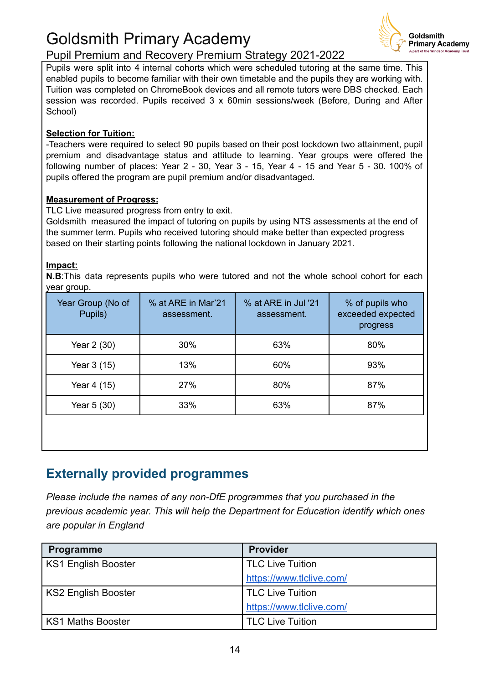

Pupil Premium and Recovery Premium Strategy 2021-2022

Pupils were split into 4 internal cohorts which were scheduled tutoring at the same time. This enabled pupils to become familiar with their own timetable and the pupils they are working with. Tuition was completed on ChromeBook devices and all remote tutors were DBS checked. Each session was recorded. Pupils received 3 x 60min sessions/week (Before, During and After School)

#### **Selection for Tuition:**

-Teachers were required to select 90 pupils based on their post lockdown two attainment, pupil premium and disadvantage status and attitude to learning. Year groups were offered the following number of places: Year 2 - 30, Year 3 - 15, Year 4 - 15 and Year 5 - 30. 100% of pupils offered the program are pupil premium and/or disadvantaged.

#### **Measurement of Progress:**

TLC Live measured progress from entry to exit.

Goldsmith measured the impact of tutoring on pupils by using NTS assessments at the end of the summer term. Pupils who received tutoring should make better than expected progress based on their starting points following the national lockdown in January 2021.

#### **Impact:**

**N.B**:This data represents pupils who were tutored and not the whole school cohort for each year group.

| Year Group (No of<br>Pupils) | % at ARE in Mar'21<br>assessment. | % at ARE in Jul '21<br>assessment. | % of pupils who<br>exceeded expected<br>progress |
|------------------------------|-----------------------------------|------------------------------------|--------------------------------------------------|
| Year 2 (30)                  | 30%                               | 63%                                | 80%                                              |
| Year 3 (15)                  | 13%                               | 60%                                | 93%                                              |
| Year 4 (15)                  | 27%                               | 80%                                | 87%                                              |
| Year 5 (30)                  | 33%                               | 63%                                | 87%                                              |
|                              |                                   |                                    |                                                  |

#### **Externally provided programmes**

*Please include the names of any non-DfE programmes that you purchased in the previous academic year. This will help the Department for Education identify which ones are popular in England*

| Programme           | <b>Provider</b>          |
|---------------------|--------------------------|
| KS1 English Booster | TLC Live Tuition         |
|                     | https://www.tlclive.com/ |
| KS2 English Booster | <b>TLC Live Tuition</b>  |
|                     | https://www.tlclive.com/ |
| l KS1 Maths Booster | <b>TLC Live Tuition</b>  |